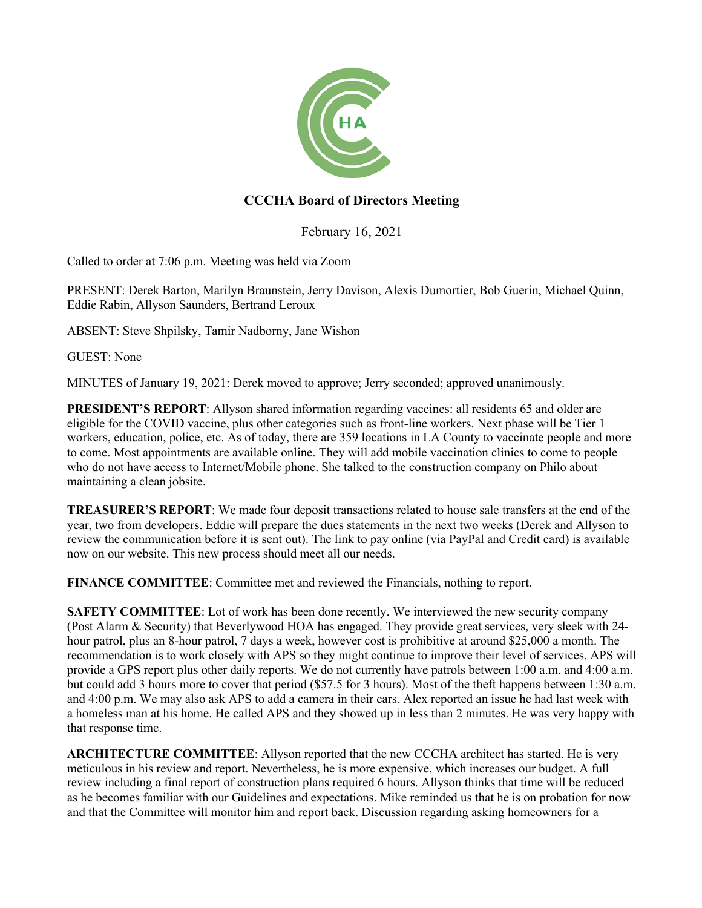

## **CCCHA Board of Directors Meeting**

February 16, 2021

Called to order at 7:06 p.m. Meeting was held via Zoom

PRESENT: Derek Barton, Marilyn Braunstein, Jerry Davison, Alexis Dumortier, Bob Guerin, Michael Quinn, Eddie Rabin, Allyson Saunders, Bertrand Leroux

ABSENT: Steve Shpilsky, Tamir Nadborny, Jane Wishon

GUEST: None

MINUTES of January 19, 2021: Derek moved to approve; Jerry seconded; approved unanimously.

**PRESIDENT'S REPORT**: Allyson shared information regarding vaccines: all residents 65 and older are eligible for the COVID vaccine, plus other categories such as front-line workers. Next phase will be Tier 1 workers, education, police, etc. As of today, there are 359 locations in LA County to vaccinate people and more to come. Most appointments are available online. They will add mobile vaccination clinics to come to people who do not have access to Internet/Mobile phone. She talked to the construction company on Philo about maintaining a clean jobsite.

**TREASURER'S REPORT**: We made four deposit transactions related to house sale transfers at the end of the year, two from developers. Eddie will prepare the dues statements in the next two weeks (Derek and Allyson to review the communication before it is sent out). The link to pay online (via PayPal and Credit card) is available now on our website. This new process should meet all our needs.

**FINANCE COMMITTEE**: Committee met and reviewed the Financials, nothing to report.

**SAFETY COMMITTEE:** Lot of work has been done recently. We interviewed the new security company (Post Alarm & Security) that Beverlywood HOA has engaged. They provide great services, very sleek with 24 hour patrol, plus an 8-hour patrol, 7 days a week, however cost is prohibitive at around \$25,000 a month. The recommendation is to work closely with APS so they might continue to improve their level of services. APS will provide a GPS report plus other daily reports. We do not currently have patrols between 1:00 a.m. and 4:00 a.m. but could add 3 hours more to cover that period (\$57.5 for 3 hours). Most of the theft happens between 1:30 a.m. and 4:00 p.m. We may also ask APS to add a camera in their cars. Alex reported an issue he had last week with a homeless man at his home. He called APS and they showed up in less than 2 minutes. He was very happy with that response time.

**ARCHITECTURE COMMITTEE**: Allyson reported that the new CCCHA architect has started. He is very meticulous in his review and report. Nevertheless, he is more expensive, which increases our budget. A full review including a final report of construction plans required 6 hours. Allyson thinks that time will be reduced as he becomes familiar with our Guidelines and expectations. Mike reminded us that he is on probation for now and that the Committee will monitor him and report back. Discussion regarding asking homeowners for a